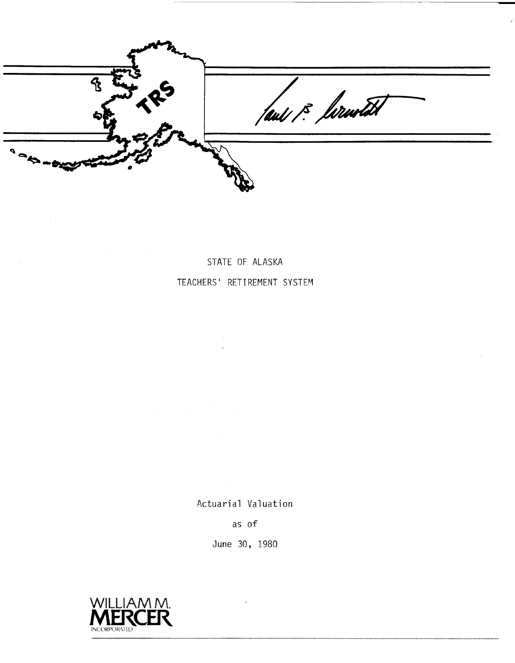had is formated

STATE OF ALASKA TEACHERS' RETIREMENT SYSTEM

Actuarial Valuation

as of

June 30, 1980

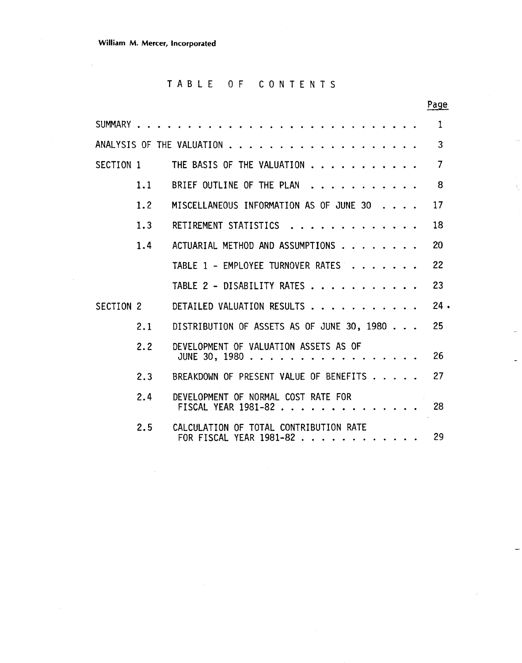$\bar{\mathcal{A}}$ 

# TABLE OF CONTENTS

|           |     |                                                                   | Page   |
|-----------|-----|-------------------------------------------------------------------|--------|
| SUMMARY   |     |                                                                   | 1      |
|           |     | ANALYSIS OF THE VALUATION                                         | 3      |
| SECTION 1 |     | THE BASIS OF THE VALUATION                                        | 7      |
|           | 1.1 | BRIEF OUTLINE OF THE PLAN                                         | 8      |
|           | 1.2 | MISCELLANEOUS INFORMATION AS OF JUNE 30                           | 17     |
|           | 1.3 | RETIREMENT STATISTICS                                             | 18     |
|           | 1.4 | ACTUARIAL METHOD AND ASSUMPTIONS                                  | 20     |
|           |     | TABLE 1 - EMPLOYEE TURNOVER RATES                                 | 22     |
|           |     | TABLE 2 - DISABILITY RATES                                        | 23     |
| SECTION 2 |     | DETAILED VALUATION RESULTS                                        | $24$ . |
|           | 2.1 | DISTRIBUTION OF ASSETS AS OF JUNE 30, 1980                        | 25     |
|           | 2.2 | DEVELOPMENT OF VALUATION ASSETS AS OF<br>JUNE 30, 1980 $\ldots$   | 26     |
|           | 2.3 | BREAKDOWN OF PRESENT VALUE OF BENEFITS                            | 27     |
|           | 2.4 | DEVELOPMENT OF NORMAL COST RATE FOR<br>FISCAL YEAR 1981-82        | 28     |
|           | 2.5 | CALCULATION OF TOTAL CONTRIBUTION RATE<br>FOR FISCAL YEAR 1981-82 | 29     |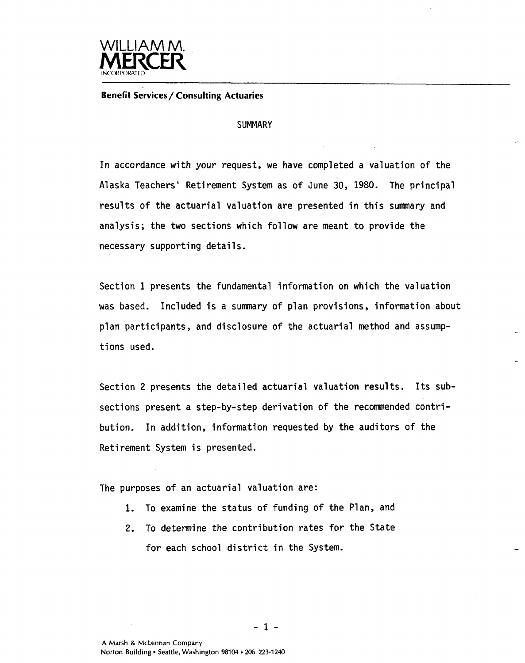

**Benefit Services/ Consulting Actuaries** 

#### **SUMMARY**

In accordance with your request, we have completed a valuation of the Alaska Teachers' Retirement System as of June 30, 1980. The principal results of the actuarial valuation are presented in this sumnary and analysis; the two sections which follow are meant to provide the necessary supporting details.

Section 1 presents the fundamental information on which the valuation was based. Included is a summary of plan provisions, information abou<sup>.</sup> plan participants, and disclosure of the actuarial method and assumptions used.

Section 2 presents the detailed actuarial valuation results. Its subsections present a step-by-step derivation of the recommended contribution. In addition, information requested by the auditors **of** the Retirement System is presented.

The purposes of an actuarial valuation are:

- 1. To examine the status of funding of the Plan, and
- 2. To determine the contribution rates for the State for each school district in the System.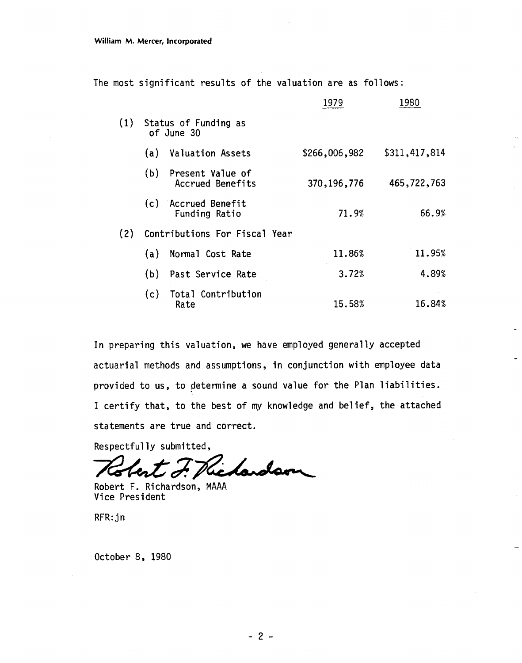The most significant results of the valuation are as follows:

|     |     |                                      | 1979          | 1980          |
|-----|-----|--------------------------------------|---------------|---------------|
| (1) |     | Status of Funding as<br>of June 30   |               |               |
|     | (a) | <b>Valuation Assets</b>              | \$266,006,982 | \$311,417,814 |
|     | (b) | Present Value of<br>Accrued Benefits | 370, 196, 776 | 465,722,763   |
|     |     | (c) Accrued Benefit<br>Funding Ratio | 71.9%         | 66.9%         |
| (2) |     | Contributions For Fiscal Year        |               |               |
|     | (a) | Normal Cost Rate                     | 11.86%        | 11.95%        |
|     | (b) | Past Service Rate                    | 3.72%         | 4.89%         |
|     | (c) | Total Contribution<br>Rate           | 15.58%        | 16.84%        |

In preparing this valuation, we have employed generally accepted actuarial methods and assumptions, in conjunction with employee data provided to us, to determine a sound value for the Plan liabilities. I certify that, to the best of my knowledge and belief, the attached statements are true and correct.

Respectfully submitted,

F. Pichardson Ter

Robert F. Richardson, MAAA Vice President

RFR: jn

October 8, 1980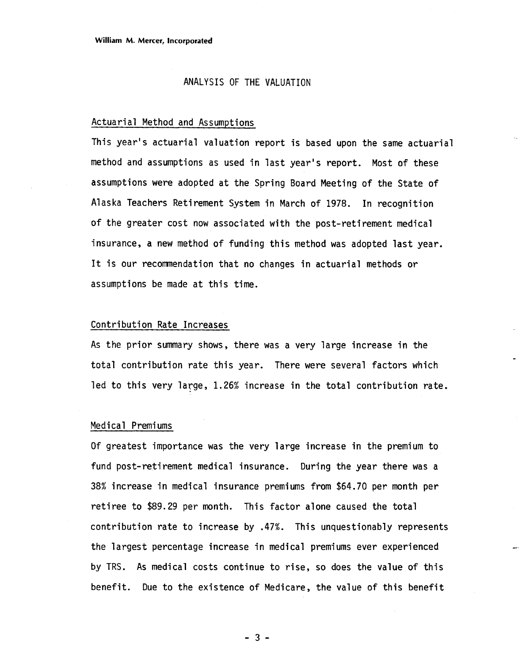#### ANALYSIS OF THE VALUATION

#### Actuarial Method and Assumptions

This year's actuarial valuation report is based upon the same actuarial method and assumptions as used in last year's report. Most of these assumptions were adopted at the Spring Board Meeting of the State of Alaska Teachers Retirement System in March of 1978. In recognition of the greater cost now associated with the post-retirement medical insurance, a new method of funding this method was adopted last year. It is our recomnendation that no changes in actuarial methods or assumptions be made at this time.

#### Contribution Rate Increases

As the prior summary shows, there was a very large increase in the total contribution rate this year. There were several factors which led to this very large, 1.26% increase in the total contribution rate.

#### Medical Premiums

Of greatest importance was the very large increase in the premium to fund post-retirement medical insurance. During the year there was a **38%** increase in medical insurance premiums from \$64.70 per month per retiree to \$89.29 per month. This factor alone caused the total contribution rate to increase by .47%. This unquestionably represents the largest percentage increase in medical premiums ever experienced by TRS. As medical costs continue to rise, so does the value of this benefit. Due to the existence of Medicare, the value of this benefit

 $-3-$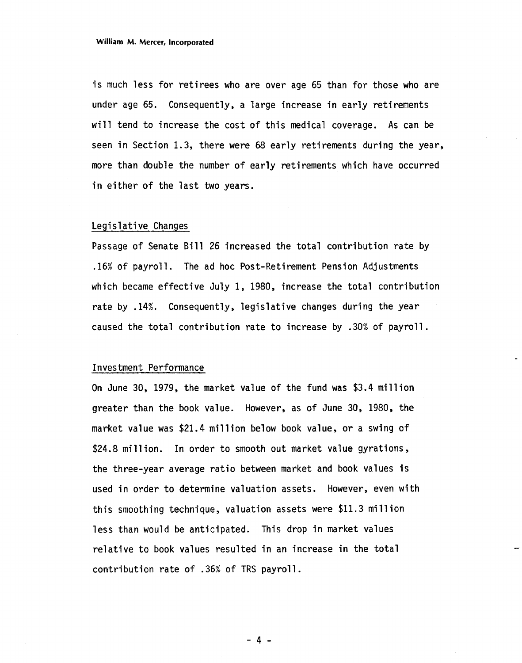is much less for retirees who are over age 65 than for those who are under age 65. Consequently, a large increase in early retirements will tend to increase the cost of this medical coverage. As can be seen in Section 1.3, there were 68 early retirements during the year, more than double the number of early retirements which have occurred in either of the last two years.

#### Legislative Changes

Passage of Senate Bill 26 increased the total contribution rate by .16% of payroll. The ad hoc Post-Retirement Pension Adjustments which became effective July 1, 1980, increase the total contribution rate by .14%. Consequently, legislative changes during the year caused the total contribution rate to increase by .30% of payroll.

#### Investment Performance

On June 30, 1979, the market value of the fund was \$3.4 mill ion greater than the book value. However, as of June 30, 1980, the market value was \$21.4 million below book value, or a swing of \$24.8 million. In order to smooth out market value gyrations, the three-year average ratio between market and book values is used in order to determine valuation assets. However, even with this smoothing technique, valuation assets were \$11.3 mi 11 ion less than would be anticipated. This drop in market values relative to book values resulted in an increase in the total contribution rate of .36% of TRS payroll.

 $-4 -$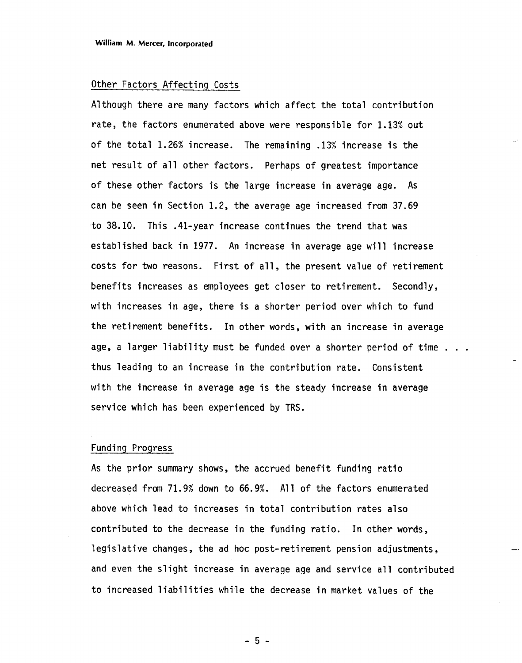#### Other Factors Affecting Costs

Although there are many factors which affect the total contribution rate, the factors enumerated above were responsible for 1.13% out of the total 1.26% increase. The remaining .13% increase is the net result of all other factors. Perhaps of greatest importance of these other factors is the large increase in average age. As can be seen in Section 1.2, the average age increased from 37.69 to 38.10. This .41-year increase continues the trend that was established back in 1977. An increase in average age will increase costs for two reasons. First of all, the present value of retirement benefits increases as employees get closer to retirement. Secondly, with increases in age, there is a shorter period over which to fund the retirement benefits. In other words, with an increase in average age, a larger liability must be funded over a shorter period of time . . . thus leading to an increase in the contribution rate. Consistent with the increase in average age is the steady increase in average service which has been experienced by TRS.

#### Funding Progress

As the prior summary shows, the accrued benefit funding ratio decreased from 71.9% down to 66.9%. All of the factors enumerated above which lead to increases in total contribution rates also contributed to the decrease in the funding ratio. In other words, legislative changes, the ad hoc post-retirement pension adjustments, and even the slight increase in average age and service all contributed to increased liabilities while the decrease in market values of the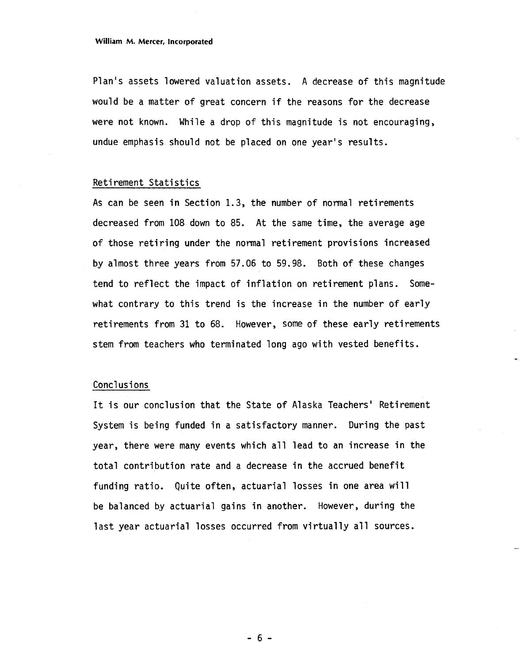Plan's assets lowered valuation assets. A decrease of this magnitude would be a matter of great concern if the reasons for the decrease were not known. While a drop of this magnitude is not encouraging, undue emphasis should not be placed on one year's results.

#### Retirement Statistics

As can be seen in Section 1.3, the number of normal retirements decreased from 108 down to 85. At the same time, the average age of those retiring under the normal retirement provisions increased by almost three years from 57.06 to 59.98. Both of these changes tend to reflect the impact of inflation on retirement plans. Somewhat contrary to this trend is the increase in the number of early retirements from 31 to 68. However, some of these early retirements stem from teachers who terminated long ago with vested benefits.

#### Concl usi ons

It is our conclusion that the State of Alaska Teachers' Retirement System is being funded in a satisfactory manner. During the past year, there were many events which a11 lead to an increase in the total contribution rate and a decrease in the accrued benefit funding ratio. Quite often, actuarial losses in one area will be balanced by actuarial gains in another. However, during the last year actuarial losses occurred from virtually all sources.

 $-6-$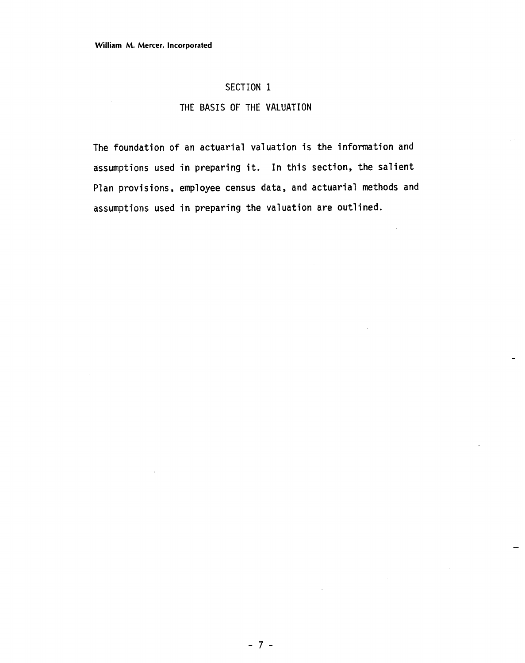#### **SECTION 1**

#### **THE BASIS OF THE VALUATION**

The foundation of an actuarial valuation is the information and assumptions used in preparing it. In this section, the salient 'lan provisions, employee census data, and actuarial methods and assumptions used in preparing the valuation are outlined.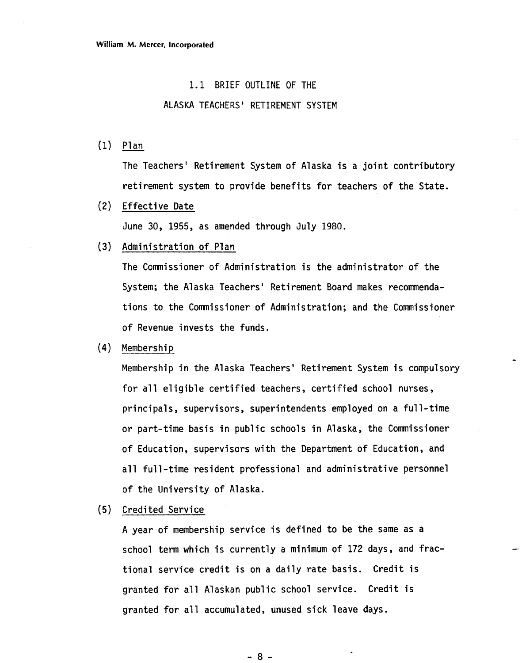#### 1.1 BRIEF OUTLINE OF THE

#### ALASKA TEACHERS' RETIREMENT SYSTEM

(1) Plan

The Teachers' Retirement System of Alaska is a joint contributory retirement system to provide benefits for teachers of the State.

(2) Effective Date

June 30, 1955, as amended through July 1980.

(3) Administration of Plan

The Commissioner of Administration is the administrator of the System; the Alaska Teachers' Retirement Board makes recommendations to the Comnissioner of Administration; and the Commissioner of Revenue invests the funds.

(4) Membership

Membership in the Alaska Teachers' Retirement System is compulsory for all eligible certified teachers, certified school nurses, principals, supervisors, superintendents employed on a full-time or part-time basis in public schools in Alaska, the Comnissioner of Education, supervisors with the Department of Education, and all full-time resident professional and administrative personnel of the University of Alaska.

**(5)** Credited Service

A year of membership service is defined to be the same as a school term which is currently a minimum of 172 days, and fractional service credit is on a daily rate basis. Credit is granted for all Alaskan public school service. Credit is granted for all accumulated, unused sick leave days.

 $-8-$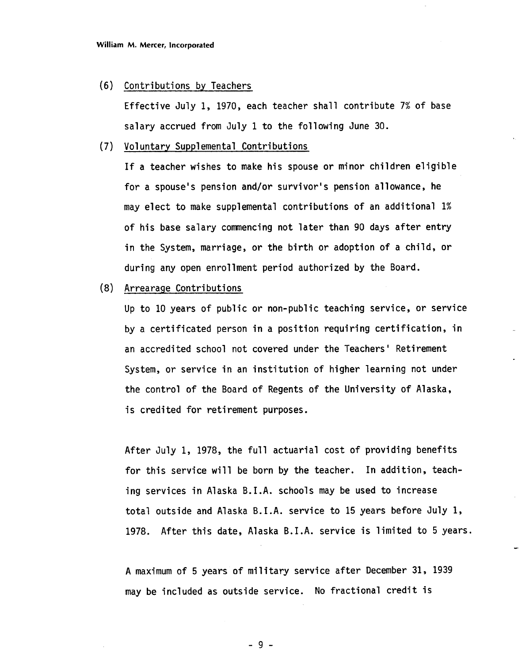#### (6) Contributions by Teachers

Effective July 1, 1970, each teacher shall contribute 7% of base salary accrued from July 1 to the following June 30.

#### (7) Vol untary Supplemental Contributions

If a teacher wishes to make his spouse or minor children eligible for a spouse's pension and/or survivor's pension allowance, he may elect to make supplemental contributions of an additional 1% of his base salary commencing not later than 90 days after entry in the System, marriage, or the birth or adoption of a child, or during any open enrollment period authorized by the Board.

#### (8) Arrearage Contributions

Up to 10 years of public or non-public teaching service, or service by a certificated person in a position requiring certification, in an accredited school not covered under the Teachers ' Retirement System, or service in an institution of higher learning not under the control of the Board of Regents of the University of Alaska, is credited for retirement purposes.

After July 1, 1978, the full actuarial cost of providing benefits for this service will be born by the teacher. In addition, teaching services in Alaska B.I.A. schools may be used to increase total outside and Alaska B.I.A. service to 15 years before July 1, 1978. After this date, Alaska B.I.A. service is limited to 5 years.

-

A maximum of 5 years of military service after December 31, 1939 may be included as outside service. No fractional credit is

 $-9-$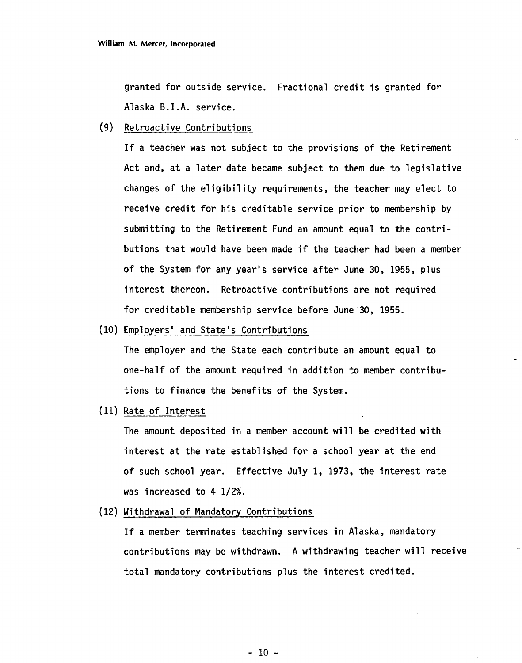granted for outside service. Fractional credit is granted for Alaska B.I.A. service.

**(9)** Retroactive Contributions

If a teacher was not subject to the provisions of the Retirement Act and, at a later date became subject to them due to legislative changes of the eligibility requirements, the teacher may elect to receive credit for his creditable service prior to membership by submitting to the Retirement Fund an amount equal to the contributions that would have been made if the teacher had been a member of the System for any year's service after June 30, 1955, plus interest thereon. Retroactive contributions are not required for creditable membership service before June 30, 1955.

(10) Employers' and State's Contributions

The employer and the State each contribute an amount equal to one-half of the amount required in addition to member contributions to finance the benefits of the System.

(11) Rate of Interest

The amount deposited in a member account will be credited with interest at the rate established for a school year at the end of such school year. Effective July 1, 1973, the interest rate was increased to 4 1/2%.

(12) Withdrawal of Mandatory Contributions

If a member terminates teaching services in Alaska, mandatory contributions may be withdrawn. A withdrawing teacher will receive total mandatory contributions plus the interest credited.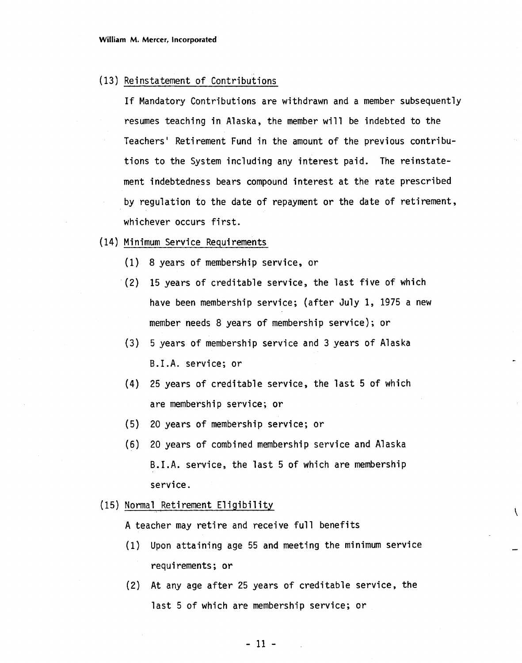(13) Reinstatement of Contributions

If Mandatory Contributions are withdrawn and a member subsequently resumes teaching in Alaska, the member will be indebted to the Teachers' Retirement Fund in the amount of the previous contributions to the System including any interest paid. The reinstatement indebtedness bears compound interest at the rate prescribed by regulation to the date of repayment or the date of retirement, whichever occurs first.

- (14) Minimum Service Requirements
	- (1) 8 years of membership service, or
	- (2) 15 years of creditable service, the last five of which have been membership service; (after July 1, 1975 a new member needs 8 years of membership service) ; or
	- **(3)** 5 years of membership service and 3 years of Alaska B.I.A. service; or
	- **(4)** 25 years of creditable service, the last 5 of which are membership service; or
	- **(5)** 20 years of membership service; or
	- **(6)** 20 years of combined membership service and Alaska B.I.A. service, the last 5 of which are membership service.
- (15) Normal Retirement Eligibility

A teacher may retire and receive full benefits

(1) Upon attaining age 55 and meeting the minimum service requirements; or

ĺ

(2) At any age after 25 years of creditable service, the last 5 of which are membership service; or

 $-11 -$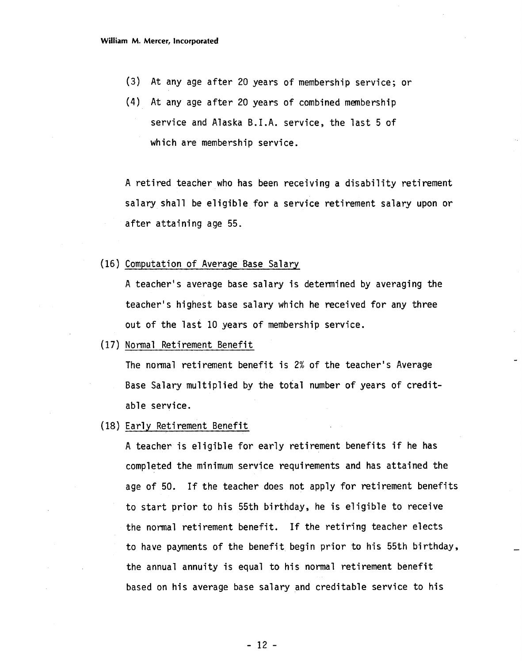- **(3)** At any age after 20 years of membership service; or
- (4) At any age after 20 years of combined membership service and Alaska B.I.A. service, the last 5 of which are membership service.

A retired teacher who has been receiving a disability retirement salary shall be eligible for a service retirement salary upon or after attaining age 55.

(16) Computation of Average Base Salary

A teacher's average base salary is determined by averaging the teacher's highest base salary which he received for any three out of the last 10 years of membership service.

(17) Normal Retirement Benefit

The normal retirement benefit is 2% of the teacher's Average Base Salary multiplied by the total number of years of creditable service.

(18) Early Retirement Benefit

A teacher is eligible for early retirement benefits if he has completed the minimum service requirements and has attained the age of 50. If the teacher does not apply for retirement benefits to start prior to his 55th birthday, he is eligible to receive the normal retirement benefit. If the retiring teacher elects to have payments of the benefit begin prior to his 55th birthday, the annual annuity is equal to his normal retirement benefit based on his average base salary and creditable service to his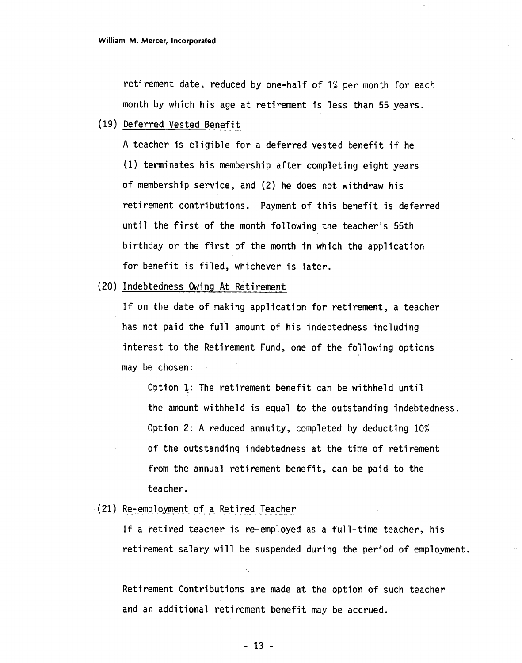retirement date, reduced by one-half of 1% per month for each month by which his age at retirement is less than 55 years.

(19) Deferred Vested Benefit

A teacher is eligible for a deferred vested benefit if he (1) terminates his membership after completing eight years of membership service, and (2) he does not withdraw his retirement contributions. Payment of this benefit is deferred until the first of the month following the teacher's 55th birthday or the first of the month in which the application for benefit is filed, whichever is later.

(20) Indebtedness Owing At Retirement

If on the date of making application for retirement, a teacher has not paid the full amount of his indebtedness including interest to the Retirement Fund, one of the following options may be chosen:

Option 1: The retirement benefit can be withheld until the amount withheld is equal to the outstanding indebtedness. Option 2: A reduced annuity, completed by deducting 10% of the outstanding indebtedness at the time of retirement from the annual retirement benefit, can be paid to the teacher.

(21) Re-employment of a Retired Teacher

If a retired teacher is re-employed as a full-time teacher, his retirement salary will be suspended during the period of employment.

Retirement Contributions are made at the option of such teacher and an additional retirement benefit may be accrued.

- **13** -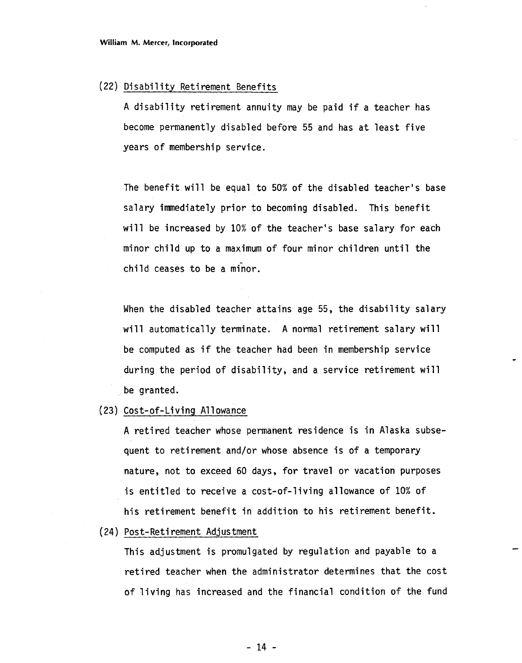#### (22) Disability Retirement Benefits

A disability retirement annuity may be paid if a teacher has become permanently disabled before 55 and has at least five years of membership service.

The benefit will be equal to 50% of the disabled teacher's base salary immediately prior to becoming disabled. This benefit will be increased by 10% of the teacher's base salary for each minor child up to a maximum of four minor children until the child ceases to be a minor.

When the disabled teacher attains age 55, the disability salary will automatically terminate. A normal retirement salary will be computed as if the teacher had been in membership service during the period of disability, and a service retirement will be granted.

(23) Cost-of-Living Allowance

A retired teacher whose permanent residence is in Alaska subsequent to retirement and/or whose absence is of a temporary nature, not to exceed 60 days, for travel or vacation purposes is entitled to receive a cost-of-living allowance of 10% of his retirement benefit in addition to his retirement benefit.

(24) Pos t-Reti rement Adjustment

This adjustment is promulgated by regulation and payable to a retired teacher when the administrator determines that the cost of living has increased and the financial condition of the fund

 $-14 -$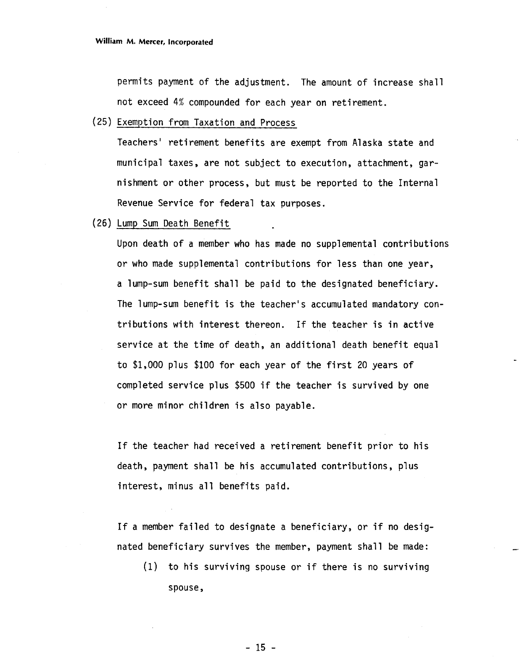permits payment of the adjustment. The amount of increase shall not exceed 4% compounded for each year on retirement.

(25) Exemption from Taxation and Process

Teachers' retirement benefits are exempt from Alaska state and municipal taxes, are not subject to execution, attachment, garnishment or other process, but must be reported to the Internal Revenue Service for federal tax purposes.

(26) Lump Sum Death Benefit

Upon death of a member who has made no supplemental contributions or who made supplemental contributions for less than one year, a lump-sum benefit shall be paid to the designated beneficiary. The lump-sum benefit is the teacher's accumulated mandatory contributions with interest thereon. If the teacher is in active service at the time of death, an additional death benefit equal to \$1,000 plus \$100 for each year of the first 20 years of completed service plus \$500 if the teacher is survived by one or more minor children is also payable.

If the teacher had received a retirement benefit prior to his death, payment shall be his accumulated contributions, plus interest, minus all benefits paid.

If a member failed to designate a beneficiary, or if no designated beneficiary survives the member, payment shall be made:

(1) to his surviving spouse or if there is no surviving spouse,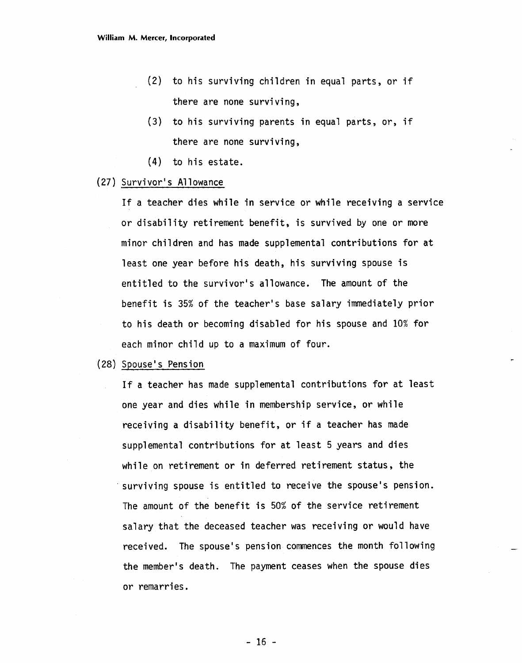- (2) to his surviving children in equal parts, or if there are none surviving,
- **(3)** to his surviving parents in equal parts, or, if there are none surviving,
- (4) to his estate.

#### (27) Survivor's Allowance

If a teacher dies while in service or while receiving a service or disability retirement benefit, is survived by one or more minor children and has made supplemental contributions for at least one year before his death, his surviving spouse is entitled to the survivor's allowance. The amount of the benefit is 35% of the teacher's base salary immediately prior to his death or becoming disabled for his spouse and 10% for each minor child up to a maximum of four.

#### (28) Spouse's Pension

If a teacher has made supplemental contributions for at least one year and dies while in membership service, or while receiving a disability benefit, or if a teacher has made supplemental contributions for at least **5** years and dies while on retirement or in deferred retirement status, the surviving spouse is entitled to receive the spouse's pension. The amount of the benefit is 50% of the service retirement salary that the deceased teacher was receiving or would have received. The spouse's pension commences the month following the member's death. The payment ceases when the spouse dies or remarries.

 $-16 -$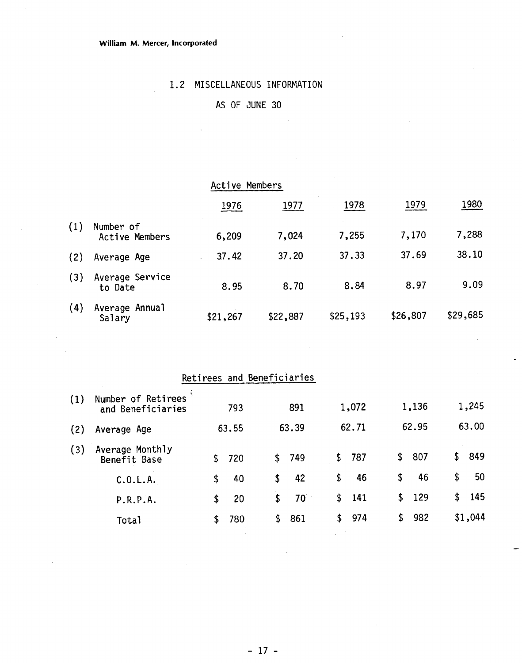#### **William M. Mercer, Incorporated**

# 1.2 MISCELLANEOUS INFORMATION

# AS OF JUNE 30

|     |                             | Active Members |             |          |          |          |  |
|-----|-----------------------------|----------------|-------------|----------|----------|----------|--|
|     |                             | 1976           | <u>1977</u> | 1978     | 1979     | 1980     |  |
| (1) | Number of<br>Active Members | 6,209          | 7,024       | 7,255    | 7,170    | 7,288    |  |
| (2) | Average Age                 | 37.42          | 37.20       | 37.33    | 37.69    | 38.10    |  |
| (3) | Average Service<br>to Date  | 8.95           | 8.70        | 8.84     | 8.97     | 9.09     |  |
| (4) | Average Annual<br>Salary    | \$21,267       | \$22,887    | \$25,193 | \$26,807 | \$29,685 |  |

| Number of Retirees<br>and Beneficiaries | 793 |                               | 891          |                                            |     |                |     |                       | 1,245   |
|-----------------------------------------|-----|-------------------------------|--------------|--------------------------------------------|-----|----------------|-----|-----------------------|---------|
| Average Age                             |     |                               |              |                                            |     |                |     |                       | 63.00   |
| Average Monthly<br>Benefit Base         | 720 | \$.                           |              | \$                                         | 787 | \$             | 807 | \$                    | 849     |
| C.0.L.A.                                | 40  | \$                            | 42           | \$                                         | 46  | \$             | 46  | \$                    | 50      |
| P.R.P.A.                                | 20  | \$                            | $70^{\circ}$ | \$                                         | 141 | \$             |     | \$                    | 145     |
| Total                                   | 780 | \$                            | 861          | \$                                         | 974 | \$             | 982 |                       | \$1,044 |
|                                         |     | 63.55<br>\$<br>\$<br>\$<br>\$ |              | Retirees and Beneficiaries<br>63.39<br>749 |     | 1,072<br>62.71 |     | 1,136<br>62.95<br>129 |         |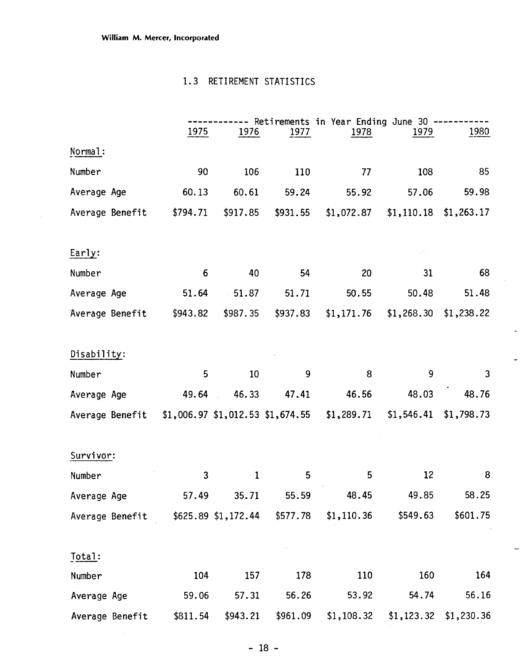$\bar{\beta}$ 

### 1.3 RETIREMENT STATISTICS

|                 | 1.3      | RETIREMENT STATISTICS               |          |                                              |            |                         |
|-----------------|----------|-------------------------------------|----------|----------------------------------------------|------------|-------------------------|
|                 | 1975     | 1976                                | 1977     | Retirements in Year Ending June 30 -<br>1978 | 1979       | 1980                    |
| Normal:         |          |                                     |          |                                              |            |                         |
| Number          | 90       | 106                                 | 110      | 77                                           | 108        | 85                      |
| Average Age     | 60.13    | 60.61                               | 59.24    | 55.92                                        | 57.06      | 59.98                   |
| Average Benefit | \$794.71 | \$917.85                            | \$931.55 | \$1,072.87                                   | \$1,110.18 | \$1,263.17              |
| Early:          |          |                                     |          |                                              |            |                         |
| Number          | 6        | 40                                  | 54       | 20                                           | 31         | 68                      |
| Average Age     | 51.64    | 51.87                               | 51.71    | 50.55                                        | 50.48      | 51.48                   |
| Average Benefit | \$943.82 | \$987.35                            | \$937.83 | \$1,171.76                                   | \$1,268.30 | \$1,238.22              |
| Disability:     |          |                                     |          |                                              |            |                         |
| Number          | 5        | 10                                  | 9        | 8                                            | 9          | 3                       |
| Average Age     | 49.64    | 46.33                               | 47.41    | 46.56                                        | 48.03      | 48.76                   |
| Average Benefit |          | $$1,006.97$ $$1,012.53$ $$1,674.55$ |          | \$1,289.71                                   |            | $$1,546.41$ $$1,798.73$ |
| Survivor:       |          |                                     |          |                                              |            |                         |
| Number          | 3        | $\mathbf{1}$                        | 5        | 5                                            | 12         | 8                       |
| Average Age     | 57.49    | 35.71                               | 55.59    | 48.45                                        | 49.85      | 58.25                   |
| Average Benefit |          | $$625.89$ \$1,172.44                | \$577.78 | \$1,110.36                                   | \$549.63   | \$601.75                |
| Total:          |          |                                     |          |                                              |            |                         |
| Number          | 104      | 157                                 | 178      | 110                                          | 160        | 164                     |
| Average Age     | 59.06    | 57.31                               | 56.26    | 53.92                                        | 54.74      | 56.16                   |
| Average Benefit | \$811.54 | \$943.21                            | \$961.09 | \$1,108.32                                   | \$1,123.32 | \$1,230.36              |

t,

 $\hat{\mathcal{A}}$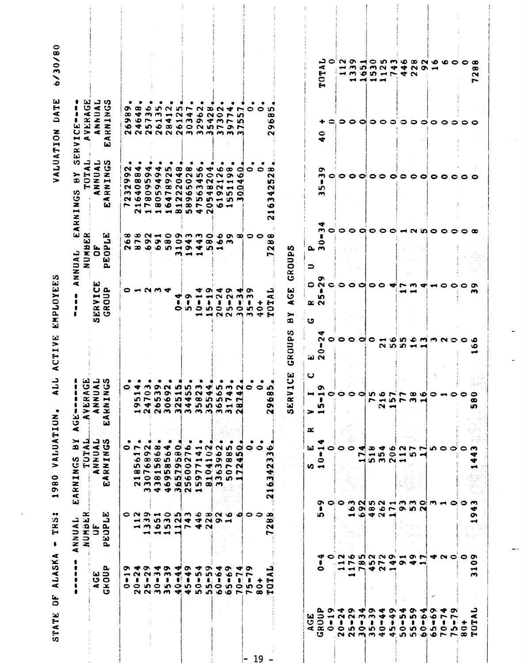| 8                                                                                                        | x<br><b>IRRANNY</b><br>UNANY<br>$\blacktriangleleft$ | ARNINGS<br>$\omega$                                                                                                                                                       | ပ<br>٠<br>$\blacktriangleright$<br>$-35$<br>$\overline{\mathbf{r}}$<br>$\triangleleft$                                        |                       | R                                                | $\propto$<br>NUMBE<br>ANNUAL                                                                                                                                                                                                                                                                                                                                                                                                                                                                             | w<br>ᇦ<br>ď<br>TOT.<br>➤<br>Ф<br>v)<br>EARNING                                                                             | تعا<br>قا<br>ı<br>$\triangleleft$<br><b>VER</b><br>نعا<br>ပ<br>$\blacksquare$<br>ERV                              |                      |
|----------------------------------------------------------------------------------------------------------|------------------------------------------------------|---------------------------------------------------------------------------------------------------------------------------------------------------------------------------|-------------------------------------------------------------------------------------------------------------------------------|-----------------------|--------------------------------------------------|----------------------------------------------------------------------------------------------------------------------------------------------------------------------------------------------------------------------------------------------------------------------------------------------------------------------------------------------------------------------------------------------------------------------------------------------------------------------------------------------------------|----------------------------------------------------------------------------------------------------------------------------|-------------------------------------------------------------------------------------------------------------------|----------------------|
| а,<br><b>AGE</b><br>GROU                                                                                 | لط<br>э<br>10.34<br>30.94                            | SPNINNIN<br>TULUL<br>TVLOL<br>SPNINGS<br>$\overline{\mathbf{z}}$<br>Æ<br>w                                                                                                | டவும<br>$\mathbf{I}$<br>ق<br>ERAC<br>NNUM<br>NINC<br>$\ddot{ }$<br>$\leq x$<br>⋖<br>لعا                                       |                       | ш<br>SERVIC<br>GROUP                             | ٽڪا<br>2ء<br><b>88</b><br>ĹΩ<br>a,                                                                                                                                                                                                                                                                                                                                                                                                                                                                       | م د<br>ANNUAI<br>$\blacktriangleleft$<br>ω                                                                                 | ႕ ဟ<br>NUAI<br>ಿ<br>$\ddot{=}$<br>$\overline{\mathbf{z}}$<br>$\overline{\mathbf{z}}$<br>$\sim$ $\sim$<br>Æ<br>(a) |                      |
| ດາ<br>$\blacksquare$<br>$\bullet$                                                                        |                                                      | ٠                                                                                                                                                                         |                                                                                                                               |                       |                                                  |                                                                                                                                                                                                                                                                                                                                                                                                                                                                                                          | N<br>ດ<br>э.<br>N<br>m                                                                                                     | a<br>œ                                                                                                            |                      |
| ▾<br>$\sim$<br>$\circ$                                                                                   | $\blacksquare$                                       | ٠<br>$\bullet$ $\mathsf{r}$<br><b>UM</b>                                                                                                                                  | つすの<br>$\overline{\phantom{a}}$                                                                                               |                       |                                                  | သော သာ<br>o r                                                                                                                                                                                                                                                                                                                                                                                                                                                                                            | ◆<br>$\infty$<br>$\bullet$<br>$\bullet$<br>◆<br>2 O                                                                        | œ<br>₩                                                                                                            |                      |
| ᡐ<br>$\ddot{\phantom{a}}$<br>$N \sim m \sim d$                                                           | $\rightarrow$                                        | - 6<br>$\sim$<br>စောထား<br><u> ທ ဖ ທ ထ</u>                                                                                                                                | $\circ$                                                                                                                       |                       |                                                  | $\sim$                                                                                                                                                                                                                                                                                                                                                                                                                                                                                                   | ⋞<br>$\bullet$<br>in.<br>ᡡ<br>$\bullet$                                                                                    | ۰<br>m                                                                                                            |                      |
| ₩<br>$\sim$ $\sim$<br>ທ ໐                                                                                |                                                      | ۰<br>$\infty$                                                                                                                                                             |                                                                                                                               |                       | ິດ ພ                                             | ⊸                                                                                                                                                                                                                                                                                                                                                                                                                                                                                                        | ◆                                                                                                                          | ൸<br>$\rightarrow$                                                                                                |                      |
| Ö<br>$5 - 3$                                                                                             | $\rightarrow$ $\rightarrow$ $\rightarrow$            | ۰<br>₩<br>$\sigma$ $\circ$ $\circ$                                                                                                                                        | ON.                                                                                                                           |                       |                                                  | $\mathfrak{O} \bullet \mathfrak{O} \bullet \mathfrak{O}$                                                                                                                                                                                                                                                                                                                                                                                                                                                 | <b>in</b><br>$9.49$<br>$9.49$                                                                                              | $\sim$<br>$\blacksquare$                                                                                          |                      |
| ₩                                                                                                        |                                                      | o<br>$\infty$                                                                                                                                                             |                                                                                                                               |                       | ₩<br>c.                                          | m                                                                                                                                                                                                                                                                                                                                                                                                                                                                                                        |                                                                                                                            | n<br>$\sim$                                                                                                       |                      |
| ው<br>$\blacktriangleright$<br>$\bullet$                                                                  | OND-ODM-0 BN 0 000<br>$10 M Q + 4 M Q +$<br>23954742 | ۰<br>$\overline{ }$<br><b>SON</b><br><b>OON THAN</b><br>$\infty$ $\sim$ $\sim$ $\infty$ $\sim$ $\sim$ $\sim$<br>$-0.00000000000000000$<br><b>NMMOGDO</b><br>$M = 4 M M -$ | <b>inne</b><br>MOMM<br>$0.0000000000$<br>$0.4001400$<br>$\rightarrow \infty \wedge \cdots \wedge \cdots \wedge \cdots \wedge$ |                       | o۱<br>$\cdots$                                   | $\circ$ $\circ$ $\circ$ $\circ$<br>$\begin{array}{ccccccccccccccccc}\n\multicolumn{4}{c}\n\multicolumn{4}{c}\n\multicolumn{4}{c}\n\multicolumn{4}{c}\n\multicolumn{4}{c}\n\multicolumn{4}{c}\n\multicolumn{4}{c}\n\multicolumn{4}{c}\n\multicolumn{4}{c}\n\multicolumn{4}{c}\n\multicolumn{4}{c}\n\multicolumn{4}{c}\n\multicolumn{4}{c}\n\multicolumn{4}{c}\n\multicolumn{4}{c}\n\multicolumn{4}{c}\n\multicolumn{4}{c}\n\multicolumn{4}{c}\n\multicolumn{4}{c}\n\multicolumn{4}{c}\n\multicolumn{4}{c$ | œ<br>0.004<br>$0.00$ $N$ in $m$<br>$00000000$<br>$O$ $4$ $N$ $9$ $10$ $10$<br><b>PHPBOH3DPO</b><br>$N \rightarrow 0.0004N$ | $\overline{ }$<br>$\blacktriangleleft$<br><b>しらて14139439 ちゅうしつうつう</b><br><b>QQQQQQMMM</b>                         |                      |
| ◆<br><b>in</b><br>ł<br>$\Omega$<br>400                                                                   |                                                      | ٠<br>$\blacksquare$<br>◆<br>$\blacksquare$                                                                                                                                |                                                                                                                               |                       | ₩<br>$\overline{\phantom{a}}$<br>ທ ວ<br>⊷        | 44<br>$\leftrightarrow$ $\leftrightarrow$                                                                                                                                                                                                                                                                                                                                                                                                                                                                | ۰<br><b>ND</b>                                                                                                             | N<br>۰                                                                                                            |                      |
| ᡐ<br>in.<br>$\bullet$ :                                                                                  |                                                      | $\sim$<br>$\ddot{ }$                                                                                                                                                      | ◆                                                                                                                             |                       | ᡡ<br>⊷<br>$\bullet$<br>ம<br>$\blacktriangleleft$ | $\bullet$<br>$\infty$                                                                                                                                                                                                                                                                                                                                                                                                                                                                                    | ➾<br>$\bullet$<br>$\mathbf{\Omega}$<br>$\infty$                                                                            | ∞<br>$\sim$                                                                                                       |                      |
| ❤<br>۰o<br>n O                                                                                           |                                                      | $\sim$<br>٠<br>$\bullet$                                                                                                                                                  | ٠                                                                                                                             |                       | ₩<br>$\sim$<br>$\bullet$                         | ۰<br>in m                                                                                                                                                                                                                                                                                                                                                                                                                                                                                                | ٠<br>$\sim$<br>$\overline{\phantom{a}}$<br>N                                                                               | N<br>$\bullet$                                                                                                    |                      |
| ᡡ<br>$\bullet$                                                                                           |                                                      | m<br>$\infty$<br>$\infty$<br>$\bullet$                                                                                                                                    | ÷<br>5.5<br>$\circ$ $\sim$ $\infty$                                                                                           |                       | ∞<br>$\boldsymbol{\sim}$<br>$\circ$ in $\circ$   | $\bullet$                                                                                                                                                                                                                                                                                                                                                                                                                                                                                                | ∞<br>o.<br>$\blacksquare$<br>$\overline{\phantom{a}}$<br>ດ ທ<br>$-5$<br>$\mathbf{o}$ $\mathbf{m}$                          | ▾<br>r<br>$\blacksquare$<br>mmm                                                                                   |                      |
| $\blacksquare$<br>-ai<br>ဟ ဝ                                                                             |                                                      | ۰<br><b>in</b><br>÷<br>n                                                                                                                                                  | - 41                                                                                                                          |                       | ₩<br>m<br>Ŧ                                      |                                                                                                                                                                                                                                                                                                                                                                                                                                                                                                          | 0<br>۰ø<br>₩<br>a<br>۰<br>m                                                                                                | $\overline{ }$<br>۱n<br>מי<br>$\sigma$ $\sim$                                                                     |                      |
| ິຕ<br>$\overline{ }$<br>in.<br>$\begin{array}{c}\n\bullet \\ \bullet \\ \bullet \\ \bullet\n\end{array}$ |                                                      | $\bullet$                                                                                                                                                                 | <b>SURVOC</b>                                                                                                                 |                       | ᡡ<br>m<br>$\bullet$<br>ъn,<br>$N$ $N$ $m$ $m$    | $\alpha$ $\alpha$ $\circ$ $\circ$                                                                                                                                                                                                                                                                                                                                                                                                                                                                        | 0                                                                                                                          | 0                                                                                                                 |                      |
| ٠<br>0                                                                                                   |                                                      | 0                                                                                                                                                                         |                                                                                                                               |                       | $\circ$<br>$\blacktriangledown$                  |                                                                                                                                                                                                                                                                                                                                                                                                                                                                                                          | $\bullet$                                                                                                                  | $\bullet$                                                                                                         |                      |
| ᇦ<br>Æ<br>н<br>Ō                                                                                         | œ<br>ဆ<br>$\sim$<br>⊷                                | ۰<br>m<br>w<br>342<br>۰<br>⊣<br>$\mathbf{N}$                                                                                                                              | ïО,<br>œ<br>$\ddot{\bullet}$<br>o.<br>N                                                                                       |                       | ⊶<br>Æ<br>50<br>Ħ                                | œ<br>∞<br>N<br>$\overline{\phantom{a}}$                                                                                                                                                                                                                                                                                                                                                                                                                                                                  | œ<br>$\boldsymbol{\sim}$<br><b>ین</b><br>N<br>ᢦ<br>m<br>Ö<br>$\blacksquare$<br>$\sim$                                      | ທ<br>œ<br>۰<br>۰<br>$\sim$                                                                                        |                      |
|                                                                                                          |                                                      |                                                                                                                                                                           | 9<br>⊶<br>SERV.                                                                                                               | ဟ<br>GROUP            | ω<br>ပ<br>×.<br>➤<br>$\bullet$                   | GROUPS                                                                                                                                                                                                                                                                                                                                                                                                                                                                                                   |                                                                                                                            |                                                                                                                   |                      |
|                                                                                                          |                                                      | ω<br>$v \rightarrow$                                                                                                                                                      | ں<br>> ⊣<br>œ                                                                                                                 | ننا (ما               | 0<br>K N<br>ぃ                                    | മ ന<br>∍                                                                                                                                                                                                                                                                                                                                                                                                                                                                                                 |                                                                                                                            |                                                                                                                   |                      |
| ٠<br>0<br>Ω.                                                                                             | ٤D.<br>◆                                             | $\blacksquare$<br>0<br>ာင                                                                                                                                                 | o.<br>$\blacksquare$<br>m                                                                                                     | N<br>ı<br>$\bullet$   | σ<br>$\sim$<br>m                                 | m<br>0                                                                                                                                                                                                                                                                                                                                                                                                                                                                                                   | m<br>ທ<br>$\sim$                                                                                                           | $\mathbf{G}$                                                                                                      | ہ د<br>Æ<br>TOT.     |
| $\sigma \rightarrow$<br>$1 - 0$                                                                          |                                                      |                                                                                                                                                                           | $\bullet$                                                                                                                     |                       |                                                  |                                                                                                                                                                                                                                                                                                                                                                                                                                                                                                          |                                                                                                                            |                                                                                                                   |                      |
| $\blacksquare$<br>$\rightarrow$                                                                          |                                                      | $\circ$                                                                                                                                                                   |                                                                                                                               |                       |                                                  |                                                                                                                                                                                                                                                                                                                                                                                                                                                                                                          |                                                                                                                            |                                                                                                                   | ન                    |
| $\rightarrow \rightarrow \rightarrow \rightarrow \rightarrow$<br>œ۹<br>$\sigma$ +                        | <b>-- 0 4 5 4</b>                                    |                                                                                                                                                                           |                                                                                                                               |                       | $\bullet$                                        |                                                                                                                                                                                                                                                                                                                                                                                                                                                                                                          | $\bullet$                                                                                                                  | 500000                                                                                                            | $\rightarrow$        |
|                                                                                                          |                                                      | ᢦ<br>N<br>∽i                                                                                                                                                              |                                                                                                                               |                       | $\bullet$                                        |                                                                                                                                                                                                                                                                                                                                                                                                                                                                                                          |                                                                                                                            |                                                                                                                   | <b>In</b>            |
| o                                                                                                        |                                                      |                                                                                                                                                                           |                                                                                                                               |                       |                                                  |                                                                                                                                                                                                                                                                                                                                                                                                                                                                                                          |                                                                                                                            |                                                                                                                   |                      |
| ÷                                                                                                        |                                                      | သော<br>5.0024                                                                                                                                                             |                                                                                                                               |                       | $\circ\circ$                                     |                                                                                                                                                                                                                                                                                                                                                                                                                                                                                                          |                                                                                                                            |                                                                                                                   | M < 4                |
| $\bullet$                                                                                                |                                                      |                                                                                                                                                                           | $\sim$ $\sim$                                                                                                                 |                       | ≁                                                |                                                                                                                                                                                                                                                                                                                                                                                                                                                                                                          |                                                                                                                            |                                                                                                                   |                      |
| 73574941<br>◆                                                                                            |                                                      | $6.0.7.7$<br>$-50$ $-5$ $-5$<br>OMNINHMMOMH<br>                                                                                                                           | 71573                                                                                                                         | $0000000000$<br>25511 | r                                                | $\begin{array}{c} \circ \circ \circ \circ \circ \circ \circ \circ \circ \end{array}$                                                                                                                                                                                                                                                                                                                                                                                                                     | $\begin{array}{ccc}\n0 & 0 & 0 & 0 & 0 & 0 \\ 0 & 0 & 0 & 0 & 0 & 0\n\end{array}$                                          |                                                                                                                   | 4 m g m 4 r 4 c      |
| ຶ                                                                                                        |                                                      |                                                                                                                                                                           |                                                                                                                               |                       | m                                                |                                                                                                                                                                                                                                                                                                                                                                                                                                                                                                          |                                                                                                                            |                                                                                                                   | $\overline{4}$ N     |
| ᢦ                                                                                                        |                                                      |                                                                                                                                                                           |                                                                                                                               |                       | ÷                                                |                                                                                                                                                                                                                                                                                                                                                                                                                                                                                                          |                                                                                                                            |                                                                                                                   |                      |
| ᡐ                                                                                                        |                                                      |                                                                                                                                                                           |                                                                                                                               |                       | $\blacksquare$                                   |                                                                                                                                                                                                                                                                                                                                                                                                                                                                                                          |                                                                                                                            | 1000000                                                                                                           | $\bullet$ $\bullet$  |
|                                                                                                          | <b>T &amp; O</b>                                     |                                                                                                                                                                           |                                                                                                                               | m N 0                 |                                                  |                                                                                                                                                                                                                                                                                                                                                                                                                                                                                                          | $\circ$ $\circ$                                                                                                            |                                                                                                                   |                      |
|                                                                                                          |                                                      | 0                                                                                                                                                                         |                                                                                                                               |                       |                                                  |                                                                                                                                                                                                                                                                                                                                                                                                                                                                                                          | $\bullet$                                                                                                                  |                                                                                                                   |                      |
|                                                                                                          | 0                                                    | いつつつ                                                                                                                                                                      | ◒                                                                                                                             |                       | o                                                | <b>00</b>                                                                                                                                                                                                                                                                                                                                                                                                                                                                                                | $\circ\circ$                                                                                                               | 00                                                                                                                | <b>NOTODAOQNOCOO</b> |
| 0<br>$\blacksquare$<br>m<br>▃                                                                            | œ                                                    | Ð<br>m                                                                                                                                                                    | 0<br>œ<br>m                                                                                                                   | ∙                     | ை<br>m                                           |                                                                                                                                                                                                                                                                                                                                                                                                                                                                                                          |                                                                                                                            |                                                                                                                   | œ                    |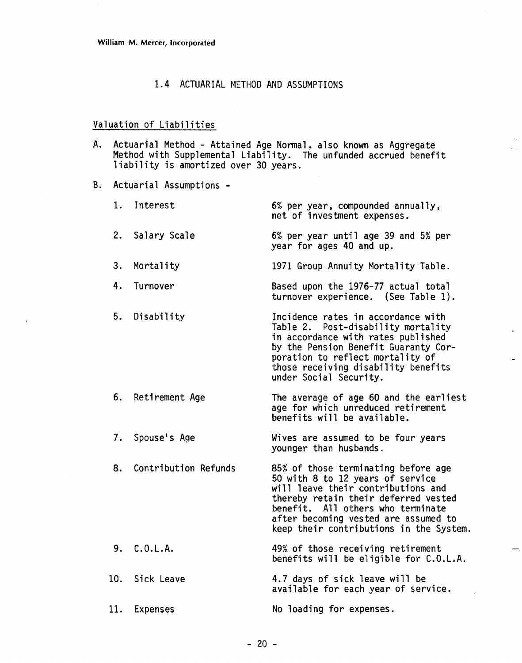#### 1.4 ACTUARIAL METHOD AND ASSUMPTIONS

# Valuation of Liabilities

A. Actuarial Method - Attained Age Normal, also known as Aggregate<br>Method with Supplemental Liability. The unfunded accrued benefit<br>liability is amortized over 30 years.

B. Actuarial Assumptions -

| 1. | Interest             | 6% per year, compounded annually,<br>net of investment expenses.                                                                                                                                                                                                              |
|----|----------------------|-------------------------------------------------------------------------------------------------------------------------------------------------------------------------------------------------------------------------------------------------------------------------------|
|    | 2. Salary Scale      | 6% per year until age 39 and 5% per<br>year for ages 40 and up.                                                                                                                                                                                                               |
| 3. | Mortality            | 1971 Group Annuity Mortality Table.                                                                                                                                                                                                                                           |
| 4. | Turnover             | Based upon the 1976-77 actual total<br>turnover experience. (See Table 1).                                                                                                                                                                                                    |
| 5. | Disability           | Incidence rates in accordance with<br>Table 2. Post-disability mortality<br>in accordance with rates published<br>by the Pension Benefit Guaranty Cor-<br>poration to reflect mortality of<br>those receiving disability benefits<br>under Social Security.                   |
|    | 6. Retirement Age    | The average of age 60 and the earliest<br>age for which unreduced retirement<br>benefits will be available.                                                                                                                                                                   |
|    | 7. Spouse's Age      | Wives are assumed to be four years<br>younger than husbands.                                                                                                                                                                                                                  |
| 8. | Contribution Refunds | 85% of those terminating before age<br>50 with 8 to 12 years of service<br>will leave their contributions and<br>thereby retain their deferred vested<br>benefit. All others who terminate<br>after becoming vested are assumed to<br>keep their contributions in the System. |
|    | 9. C.O.L.A.          | 49% of those receiving retirement<br>benefits will be eligible for C.O.L.A.                                                                                                                                                                                                   |
|    | 10. Sick Leave       | 4.7 days of sick leave will be<br>available for each year of service.                                                                                                                                                                                                         |
|    | 11. Expenses         | No loading for expenses.                                                                                                                                                                                                                                                      |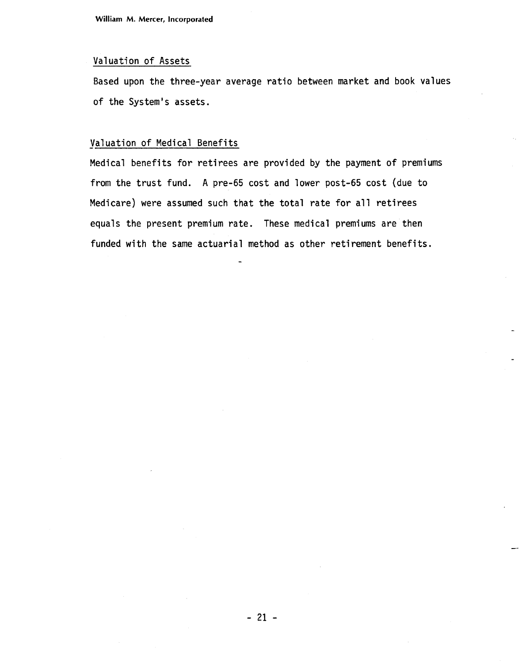**William M. Mercer, Incorporated** 

#### Valuation of Assets

Based upon the three-year average ratio between market and book values of the System's assets.

#### Valuation of Medical Benefits

Medical benefits for retirees are provided by the payment of premiums from the trust fund. **A** pre-65 cost and lower post-65 cost (due to Medicare) were assumed such that the total rate for all retirees equals the present premium rate. These medical premiums are then funded with the same actuarial method as other retirement benefits.

-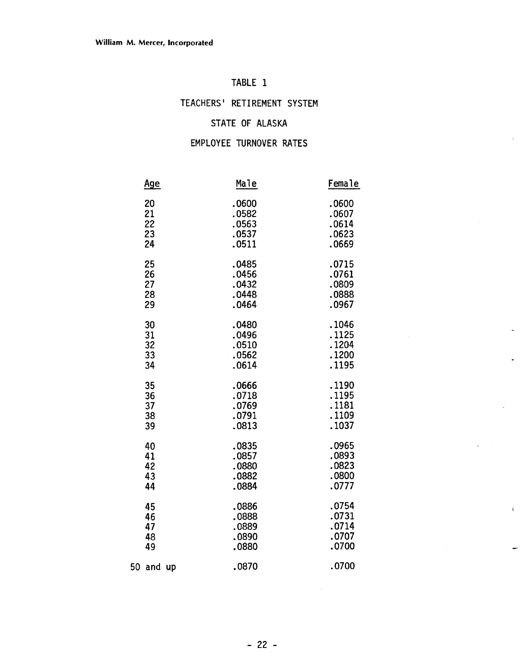# TABLE 1

# TEACHERS' RETIREMENT SYSTEM

# STATE OF ALASKA

### EMPLOYEE TURNOVER RATES

| Age       | Male  | Female |
|-----------|-------|--------|
| 20        | .0600 | .0600  |
| 21        | .0582 | .0607  |
| 22        | .0563 | .0614  |
| 23        | .0537 | .0623  |
| 24        | .0511 | .0669  |
| 25        | .0485 | .0715  |
| 26        | .0456 | .0761  |
| 27        | .0432 | .0809  |
| 28        | .0448 | .0888  |
| 29        | .0464 | .0967  |
| 30        | .0480 | .1046  |
| 31        | .0496 | .1125  |
| 32        | .0510 | .1204  |
| 33        | .0562 | .1200  |
| 34        | .0614 | .1195  |
| 35        | .0666 | .1190  |
| 36        | .0718 | .1195  |
| 37        | .0769 | .1181  |
| 38        | .0791 | .1109  |
| 39        | .0813 | .1037  |
| 40        | .0835 | .0965  |
| 41        | .0857 | .0893  |
| 42        | .0880 | .0823  |
| 43        | .0882 | .0800  |
| 44        | .0884 | .0777  |
| 45        | .0886 | .0754  |
| 46        | .0888 | .0731  |
| 47        | .0889 | .0714  |
| 48        | .0890 | .0707  |
| 49        | .0880 | .0700  |
| 50 and up | .0870 |        |

 $\bar{1}$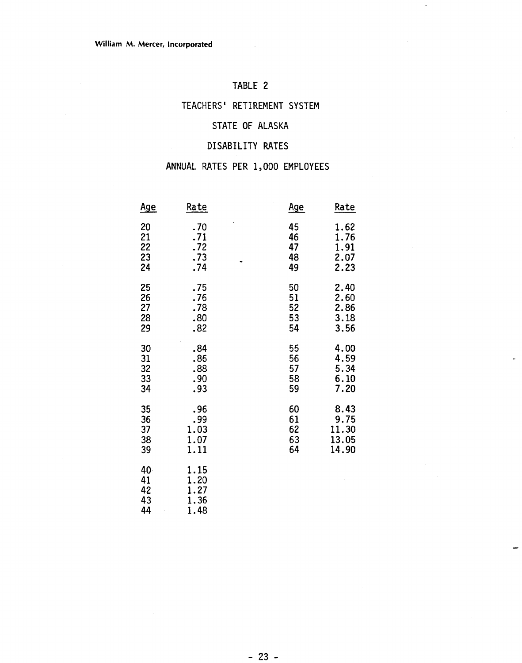# TABLE **2**

# TEACHERS' RETIREMENT SYSTEM

### STATE **OF** ALASKA

# DISABILITY RATES

# ANNUAL RATES PER **1,000** EMPLOYEES

| <u>Age</u>                  | Rate                                 | <u>Age</u> | <u>Rate</u> |
|-----------------------------|--------------------------------------|------------|-------------|
| 20                          | .70                                  | 45         | 1.62        |
| 21                          | .71                                  | 46         | 1.76        |
| 22                          | .72                                  | 47         | 1.91        |
| 23                          | .73                                  | 48         | 2.07        |
| 24                          | .74                                  | 49         | 2.23        |
| 25                          | .75                                  | 50         | 2.40        |
| 26                          | .76                                  | 51         | 2.60        |
| 27                          | .78                                  | 52         | 2.86        |
| 28                          | .80                                  | 53         | 3.18        |
| 29                          | .82                                  | 54         | 3.56        |
| 30                          | .84                                  | 55         | 4.00        |
| 31                          | .86                                  | 56         | 4.59        |
| 32                          | .88                                  | 57         | 5.34        |
| 33                          | .90                                  | 58         | 6.10        |
| 34                          | .93                                  | 59         | 7.20        |
| 35                          | .96                                  | 60         | 8.43        |
| 36                          | .99                                  | 61         | 9.75        |
| 37                          | 1.03                                 | 62         | 11.30       |
| 38                          | 1.07                                 | 63         | 13.05       |
| 39                          | 1.11                                 | 64         | 14.90       |
| 40.<br>41<br>42<br>43<br>44 | 1.15<br>1.20<br>1.27<br>1.36<br>1.48 |            |             |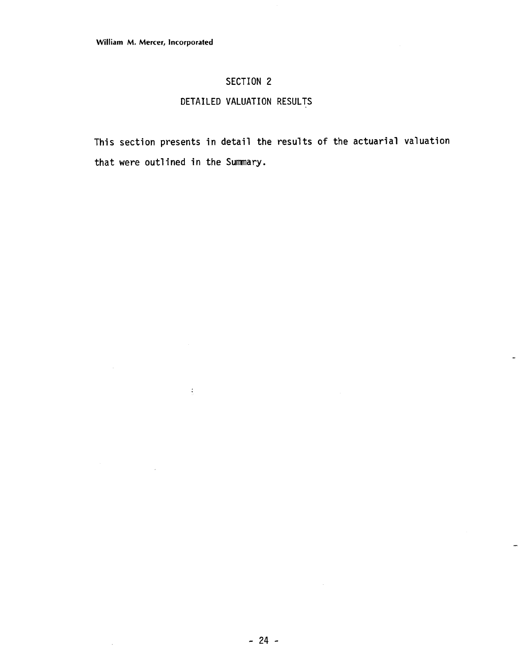$\mathcal{L}^{\pm}$ 

 $\sim$ 

 $\mathcal{A}$ 

# SECTION 2

# DETAILED VALUATION RESULTS

This section presents in detail the results of the actuarial valuation that were outlined in the Summary.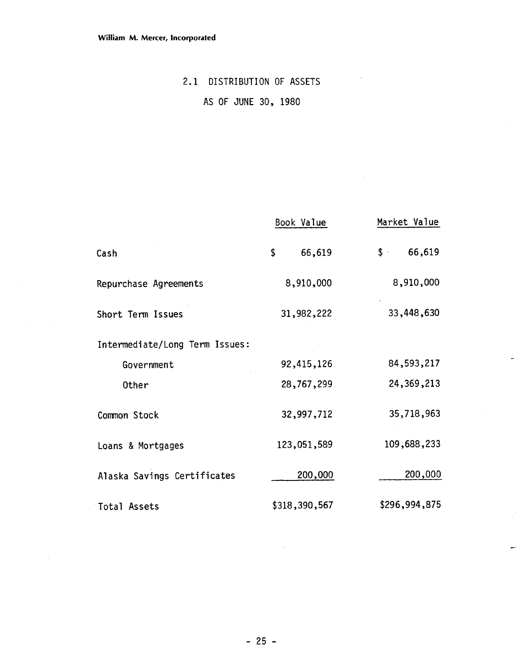# 2.1 DISTRIBUTION OF ASSETS

AS OF JUNE 30, 1980

|                                | Book Value    | Market Value             |
|--------------------------------|---------------|--------------------------|
| Cash                           | \$<br>66,619  | 66,619<br>$\mathsf{S}$ . |
| Repurchase Agreements          | 8,910,000     | 8,910,000                |
| Short Term Issues              | 31,982,222    | 33,448,630               |
| Intermediate/Long Term Issues: |               |                          |
| Government                     | 92,415,126    | 84,593,217               |
| Other                          | 28,767,299    | 24, 369, 213             |
| Common Stock                   | 32,997,712    | 35,718,963               |
| Loans & Mortgages              | 123,051,589   | 109,688,233              |
| Alaska Savings Certificates    | 200,000       | 200,000                  |
| Total Assets                   | \$318,390,567 | \$296,994,875            |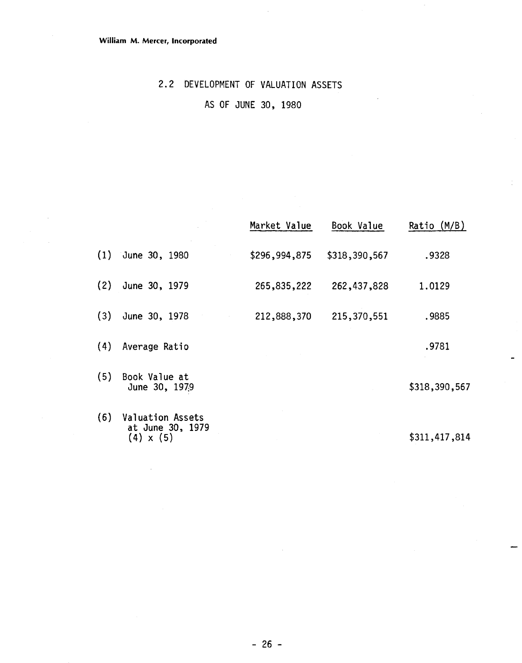**(4)** x **(5)** 

 $\bar{\bar{z}}$ 

# **2.2 DEVELOPMENT OF** VALUATION ASSETS

# AS OF JUNE **30, 1980**

|     |                                                                 | Market Value  | Book Value    | Ratio $(M/B)$ |
|-----|-----------------------------------------------------------------|---------------|---------------|---------------|
| (1) | June 30, 1980                                                   | \$296,994,875 | \$318,390,567 | .9328         |
| (2) | June 30, 1979                                                   | 265,835,222   | 262,437,828   | 1.0129        |
| (3) | June 30, 1978                                                   | 212,888,370   | 215,370,551   | .9885         |
| (4) | Average Ratio                                                   |               |               | .9781         |
| (5) | Book Value at<br>June 30, 1979                                  |               |               | \$318,390,567 |
| (6) | <b>Valuation Assets</b><br>at June 30, 1979<br>$(4) \times (5)$ |               |               | \$311,417,814 |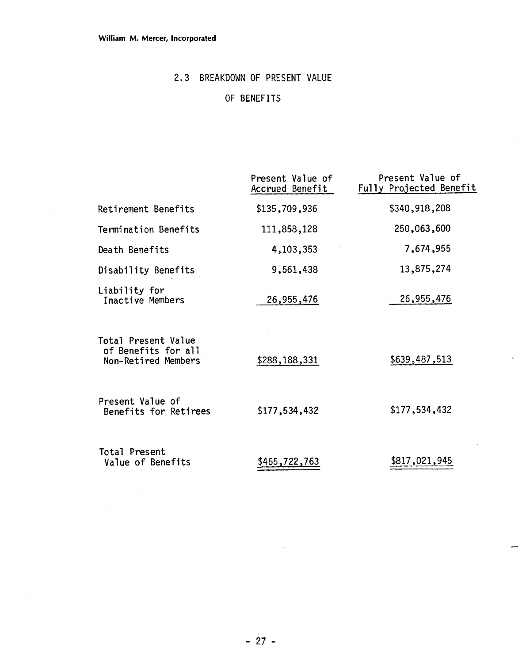# **2.3** BREAKDOWN **OF** PRESENT VALUE

# **OF** BENEFITS

|                                                                   | Present Value of<br>Accrued Benefit | Present Value of<br>Fully Projected Benefit |
|-------------------------------------------------------------------|-------------------------------------|---------------------------------------------|
| Retirement Benefits                                               | \$135,709,936                       | \$340,918,208                               |
| Termination Benefits                                              | 111,858,128                         | 250,063,600                                 |
| Death Benefits                                                    | 4,103,353                           | 7,674,955                                   |
| Disability Benefits                                               | 9,561,438                           | 13,875,274                                  |
| Liability for<br>Inactive Members                                 | 26,955,476                          | 26,955,476                                  |
| Total Present Value<br>of Benefits for all<br>Non-Retired Members | \$288,188,331                       | \$639,487,513                               |
| Present Value of<br>Benefits for Retirees                         | \$177,534,432                       | \$177,534,432                               |
| Total Present<br>Value of Benefits                                | \$465,722,763                       | \$817,021,945                               |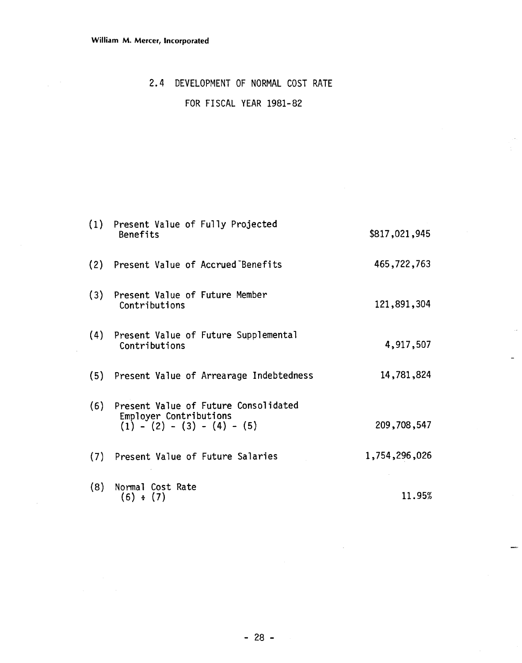$\mathcal{L}_{\mathcal{A}}$ 

### 2.4 DEVELOPMENT OF NORMAL COST RATE

# FOR FISCAL YEAR 1981-82

|     | (1) Present Value of Fully Projected<br>Benefits                                                | \$817,021,945 |
|-----|-------------------------------------------------------------------------------------------------|---------------|
|     | (2) Present Value of Accrued Benefits                                                           | 465,722,763   |
|     | (3) Present Value of Future Member<br>Contributions                                             | 121,891,304   |
| (4) | Present Value of Future Supplemental<br>Contributions                                           | 4,917,507     |
|     | (5) Present Value of Arrearage Indebtedness                                                     | 14,781,824    |
| (6) | Present Value of Future Consolidated<br>Employer Contributions<br>$(1) - (2) - (3) - (4) - (5)$ | 209,708,547   |
| (7) | Present Value of Future Salaries                                                                | 1,754,296,026 |
| (8) | Normal Cost Rate<br>(6) ÷ (7)                                                                   | 11.95%        |